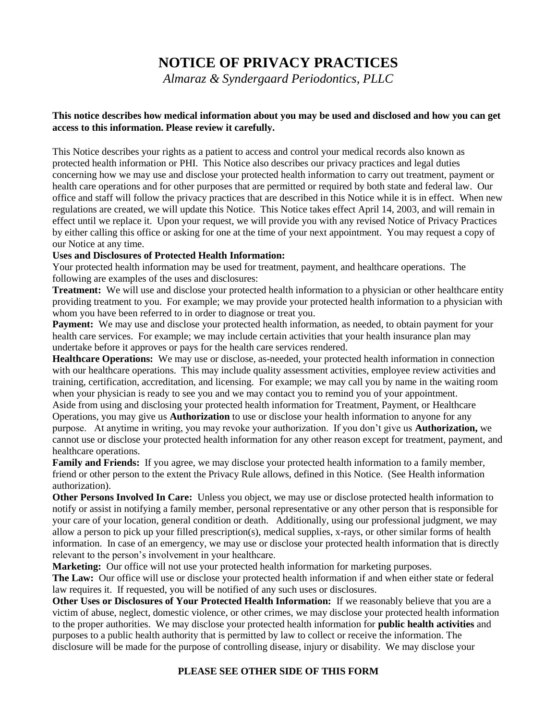# **NOTICE OF PRIVACY PRACTICES**

*Almaraz & Syndergaard Periodontics, PLLC*

### **This notice describes how medical information about you may be used and disclosed and how you can get access to this information. Please review it carefully.**

This Notice describes your rights as a patient to access and control your medical records also known as protected health information or PHI. This Notice also describes our privacy practices and legal duties concerning how we may use and disclose your protected health information to carry out treatment, payment or health care operations and for other purposes that are permitted or required by both state and federal law. Our office and staff will follow the privacy practices that are described in this Notice while it is in effect. When new regulations are created, we will update this Notice. This Notice takes effect April 14, 2003, and will remain in effect until we replace it. Upon your request, we will provide you with any revised Notice of Privacy Practices by either calling this office or asking for one at the time of your next appointment. You may request a copy of our Notice at any time.

### **Uses and Disclosures of Protected Health Information:**

Your protected health information may be used for treatment, payment, and healthcare operations. The following are examples of the uses and disclosures:

**Treatment:** We will use and disclose your protected health information to a physician or other healthcare entity providing treatment to you. For example; we may provide your protected health information to a physician with whom you have been referred to in order to diagnose or treat you.

**Payment:** We may use and disclose your protected health information, as needed, to obtain payment for your health care services. For example; we may include certain activities that your health insurance plan may undertake before it approves or pays for the health care services rendered.

**Healthcare Operations:** We may use or disclose, as-needed, your protected health information in connection with our healthcare operations. This may include quality assessment activities, employee review activities and training, certification, accreditation, and licensing. For example; we may call you by name in the waiting room when your physician is ready to see you and we may contact you to remind you of your appointment. Aside from using and disclosing your protected health information for Treatment, Payment, or Healthcare Operations, you may give us **Authorization** to use or disclose your health information to anyone for any purpose. At anytime in writing, you may revoke your authorization. If you don't give us **Authorization,** we

cannot use or disclose your protected health information for any other reason except for treatment, payment, and healthcare operations.

**Family and Friends:** If you agree, we may disclose your protected health information to a family member, friend or other person to the extent the Privacy Rule allows, defined in this Notice. (See Health information authorization).

**Other Persons Involved In Care:** Unless you object, we may use or disclose protected health information to notify or assist in notifying a family member, personal representative or any other person that is responsible for your care of your location, general condition or death. Additionally, using our professional judgment, we may allow a person to pick up your filled prescription(s), medical supplies, x-rays, or other similar forms of health information. In case of an emergency, we may use or disclose your protected health information that is directly relevant to the person's involvement in your healthcare.

**Marketing:** Our office will not use your protected health information for marketing purposes.

**The Law:** Our office will use or disclose your protected health information if and when either state or federal law requires it. If requested, you will be notified of any such uses or disclosures.

**Other Uses or Disclosures of Your Protected Health Information:** If we reasonably believe that you are a victim of abuse, neglect, domestic violence, or other crimes, we may disclose your protected health information to the proper authorities. We may disclose your protected health information for **public health activities** and purposes to a public health authority that is permitted by law to collect or receive the information. The disclosure will be made for the purpose of controlling disease, injury or disability. We may disclose your

## **PLEASE SEE OTHER SIDE OF THIS FORM**